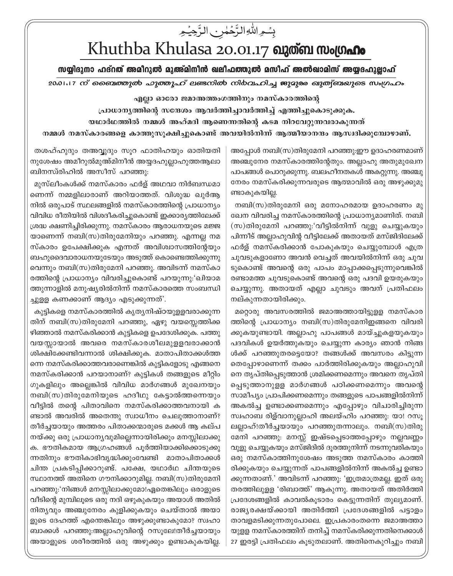## بِسُمِ اللَّهِ الزَّحْمٰنِ الزَّجِيْمِ Khuthba Khulasa 20.01.17 ณาตัด พงเตก

## സയ്യിദുനാ ഹദ്റത് അമീറുൽ മുഅ്മിനീൻ ഖലീഫത്തുൽ മസീഹ് അൽഖാമിസ് അയ്യദഹുല്ലാഹ്

20.01.17 ന് ബൈത്തുൽ *ഹുത്തൂഹ്* ലണ്ടനിൽ നിർവഹിച്ച ജുമുരു ഖുത്വ്ബയുടെ സംഗ്രഹം

എല്ലാ ഓരോ ജമാഅത്തംഗത്തിനും നമസ്കാരത്തിന്റെ

പ്രാധാനൃത്തിന്റെ സന്ദേശം ആവർത്തിച്ചാവർത്തിച്ച് എത്തിച്ചുകൊടുക്കുക.

യഥാർഥത്തിൽ നമ്മൾ അഹ്മദി ആണെന്നതിന്റെ കടമ നിറവേറ്റുന്നവരാകുന്നത്

നമ്മൾ നമസ്കാരങ്ങളെ കാത്തുസൂക്ഷിച്ചുകൊണ്ട് അവയിൽനിന്ന് ആത്മീയാനന്ദം ആസ്വദിക്കുമ്പോഴാണ്.

അപ്പോൾ നബി(സ)തിരുമേനി പറഞ്ഞു:ഈ ഉദാഹരണമാണ് അഞ്ചുനേര നമസ്കാരത്തിന്റേതും. അല്ലാഹു അതുമുഖേന പാപങ്ങൾ പൊറുക്കുന്നു. ബലഹീനതകൾ അകറ്റുന്നു. അഞ്ചു നേരം നമസ്കരിക്കുന്നവരുടെ ആത്മാവിൽ ഒരു അഴുക്കുമു ണ്ടാകുകയില്ല.

നബി(സ)തിരുമേനി ഒരു മനോഹരമായ ഉദാഹരണം മു ഖേന വിവരിച്ച നമസ്കാരത്തിന്റെ പ്രാധാന്യമാണിത്. നബി (സ)തിരുമേനി പറഞ്ഞു:'വീട്ടിൽനിന്ന് വുളു ചെയ്യുകയും പിന്നീട് അല്ലാഹുവിന്റ വീട്ടിലേക്ക് അതായത് മസ്ജിദിലേക്ക് ഫർള് നമസ്കരിക്കാൻ പോകുകയും ചെയ്യുമ്പോൾ എത്ര ചുവടുകളാണോ അവൻ വെച്ചത് അവയിൽനിന്ന് ഒരു ചുവ ടുകൊണ്ട് അവന്റെ ഒരു പാപം മാപ്പാക്കപ്പെടുന്നുവെങ്കിൽ രണ്ടാമത്ത ചുവടുകൊണ്ട് അവന്റെ ഒരു പദവി ഉയരുകയും ചെയ്യുന്നു. അതായത് എല്ലാ ചുവടും അവന് പ്രതിഫലം നല്കുന്നതായിരിക്കും.

മറ്റൊരു അവസരത്തിൽ ജമാഅത്തായിട്ടുള്ള നമസ്കാര ത്തിന്റെ പ്രാധാന്യം നബി(സ)തിരുമേനിഇങ്ങനെ വിവരി ക്കുകയുണ്ടായി. അല്ലാഹു പാപങ്ങൾ മായ്ച്ചുകളയുകയും പദവികൾ ഉയർത്തുകയും ചെയ്യുന്ന കാര്യം ഞാൻ നിങ്ങ ൾക്ക് പറഞ്ഞുതരട്ടെയോ? തങ്ങൾക്ക് അവസരം കിട്ടുന്ന തെപ്പോഴാണെന്ന് തക്കം പാർത്തിരിക്കുകയും അല്ലാഹുവി നെ തൃപ്തിപ്പെടുത്താൻ ശ്രമിക്കണമെന്നും അവനെ തൃപ്തി പ്പെടുത്താനുളള മാർഗങ്ങൾ പഠിക്കണമെന്നും അവന്റെ സാമീപ്യം പ്രാപിക്കണമെന്നും തങ്ങളുടെ പാപങ്ങളിൽനിന്ന് അകൽച്ച ഉണ്ടാക്കണമെന്നും എപ്പോഴും വിചാരിച്ചിരുന്ന സ്വഹാബ രിള്വാനുല്ലാഹി അലയ്ഹിം പറഞ്ഞു: യാ! റസൂ ലല്ലാഹ്!തീർച്ചയായും പറഞ്ഞുതന്നാലും. നബി(സ)തിരു മേനി പറഞ്ഞു: മനസ്സ് ഇഷ്ടപ്പെടാത്തപ്പോഴും നല്ലവണ്ണം വുളു ചെയ്യുകയും മസ്ജിദിൽ ദൂരത്തുനിന്ന് നടന്നുവരികയും ഒരു നമസ്കാത്തിനുശേഷം അടുത്ത നമസ്കാരം കാത്തി രിക്കുകയും ചെയ്യുന്നത് പാപങ്ങളിൽനിന്ന് അകൽച്ച ഉണ്ടാ ക്കുന്നതാണ്.' അവിടന്ന് പറഞ്ഞു: 'ഇത്രമാത്രമല്ല. ഇത് ഒരു തരത്തിലുളള 'രിബാത്ത്' ആകുന്നു. അതായത് അതിർത്തി പ്രദേശങ്ങളിൽ കാവൽകുടാരം കെട്ടുന്നതിന് തുല്യമാണ്. രാജ്യരക്ഷയ്ക്കായി അതിർത്തി പ്രദേശങ്ങളിൽ പട്ടാളം താവളമടിക്കുന്നതുപോലെ. ഇപ്രകാരംതന്നെ ജമാഅത്താ യുളള നമസ്കാരത്തിന് തനിച്ച് നമസ്കരിക്കുന്നതിനെക്കാൾ 27 ഇരട്ടി പ്രതിഫലം കൂടുതലാണ്. അതിനെകുറിച്ചും നബി

തശഹ്ഹുദും തഅവ്വുദും സൂറ ഫാതിഹയും ഓതിയതി നുശേഷം അമീറുൽമുഅ്മിനീൻ അയ്യദഹുല്ലാഹുത്തആലാ ബിനസ്ഥിഹിൽ അസീസ് പറഞ്ഞു:

മുസ്ലീംകൾക്ക് നമസ്കാരം ഫർള് അഥവാ നിർബന്ധമാ ണെന്ന് നമ്മളിലാരാണ് അറിയാത്തത്. വിശുദ്ധ ഖൂർആ നിൽ ഒരുപാട് സ്ഥലങ്ങളിൽ നമസ്കാരത്തിന്റെ പ്രാധാന്യം വിവിധ രീതിയിൽ വിശദീകരിച്ചുകൊണ്ട് ഇക്കാരൃത്തിലേക്ക് ശ്രദ്ധ ക്ഷണിച്ചിരിക്കുന്നു. നമസ്കാരം ആരാധനയുടെ മജ്ജ യാണെന്ന് നബി(സ)തിരുമേനിയും പറഞ്ഞു. എന്നല്ല നമ സ്കാരം ഉപേക്ഷിക്കുക എന്നത് അവിശ്വാസത്തിന്റേയും ബഹുദൈവാരാധനയുടേയും അടുത്ത് കൊണ്ടെത്തിക്കുന്നു വെന്നും നബി(സ)തിരുമേനി പറഞ്ഞു. അവിടന്ന് നമസ്കാ രത്തിന്റെ പ്രാധാന്യം വിവരിച്ചുകൊണ്ട് പറയുന്നു:'ഖിയാമ ത്തുന്നാളിൽ മനുഷ്യരിൽനിന്ന് നമസ്കാരത്തെ സംബന്ധി ച്ചുളള കണക്കാണ് ആദ്യം എടുക്കുന്നത്'.

കുട്ടികളെ നമസ്കാരത്തിൽ കൃതൃനിഷ്ഠയുള്ളവരാക്കുന്ന തിന് നബി(സ)തിരുമേനി പറഞ്ഞു, ഏഴു വയസ്സെത്തിക്ക ഴിഞ്ഞാൽ നമസ്കരിക്കാൻ കുട്ടികളെ ഉപദേശിക്കുക. പത്തു വയസ്സായാൽ അവരെ നമസ്കാരശീലമുളളവരാക്കാൻ ശിക്ഷിക്കേണ്ടിവന്നാൽ ശിക്ഷിക്കുക. മാതാപിതാക്കൾത്ത ന്നെ നമസ്കരിക്കാത്തവരാണെങ്കിൽ കൂട്ടികളോടു എങ്ങനെ നമസ്കരിക്കാൻ പറയാനാണ്? കുട്ടികൾ തങ്ങളുടെ മീറ്റിം ഗുകളിലും അല്ലെങ്കിൽ വിവിധ മാർഗങ്ങൾ മുഖേനയും നബി(സ)തിരുമേനിയുടെ ഹദീഥു കേട്ടാൽത്തന്നെയും വീട്ടിൽ തന്റെ പിതാവിനെ നമസ്കരിക്കാത്തവനായി ക ണ്ടാൽ അവരിൽ അതെന്തു സ്വാധീനം ചെലുത്താനാണ്? തീർച്ചയായും അത്തരം പിതാക്കന്മാരുടെ മക്കൾ ആ കല്പ നയ്ക്കു ഒരു പ്രാധാന്യവുമില്ലെന്നായിരിക്കും മനസ്സിലാക്കു ക. ഭൗതികമായ ആഗ്രഹങ്ങൾ പൂർത്തിയാക്കിക്കൊടുക്കു ന്നതിനും ഭൗതികാഭിവൃദ്ധിക്കുംവേണ്ടി മാതാപിതാക്കൾ ചിന്ത പ്രകടിപ്പിക്കാറുണ്ട്. പക്ഷേ, യഥാർഥ ചിന്തയുടെ സ്ഥാനത്ത് അതിനെ ഗൗനിക്കാറുമില്ല. നബി(സ)തിരുമേനി പറഞ്ഞു:'നിങ്ങൾ മനസ്സിലാക്കുമോ!ഏതെങ്കിലും ഒരാളുടെ വീടിന്റെ മുമ്പിലുടെ ഒരു നദി ഒഴുകുകയും അയാൾ അതിൽ നിത്യവും അഞ്ചുനേരം കുളിക്കുകയും ചെയ്താൽ അയാ ളുടെ ദേഹത്ത് എന്തെങ്കിലും അഴുക്കുണ്ടാകുമോ? സ്വഹാ ബാക്കൾ പറഞ്ഞു:അല്ലാഹുവിന്റെ റസുലേ!തീർച്ചയായും അയാളുടെ ശരീരത്തിൽ ഒരു അഴുക്കും ഉണ്ടാകുകയില്ല.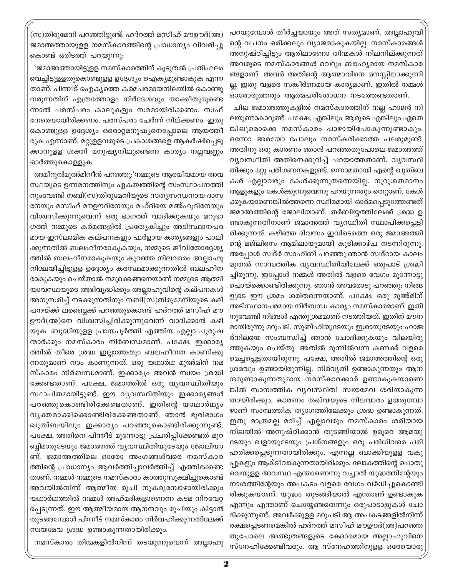പറയുമ്പോൾ തീർച്ചയായും അത് സത്യമാണ്. അല്ലാഹുവി ന്റെ വചനം ഒരിക്കലും വ്യാജമാകുകയില്ല. നമസ്കാരങ്ങൾ അനുഷ്ഠിച്ചിട്ടും ആരിലാണോ തിന്മകൾ നിലനില്ക്കുന്നത് അവരുടെ നമസ്കാരങ്ങൾ വെറും ബാഹൃമായ നമസ്കാര ങ്ങളാണ്. അവർ അതിന്റെ ആത്മാവിനെ മനസ്സിലാക്കുന്നി ല്ല. ഇതു വളരെ സങ്കീർണമായ കാര്യമാണ്. ഇതിൽ നമ്മൾ ഓരോരുത്തരും ആത്മപരിശോധന നടത്തേണ്ടതാണ്.

ചില ജമാഅത്തുകളിൽ നമസ്കാരത്തിന് നല്ല ഹാജർ നി ലയുണ്ടാകാറുണ്ട്. പക്ഷേ, എങ്കിലും ആരുടെ എങ്കിലും ഏതെ ങ്കിലുമൊക്കെ നമസ്കാരം പാഴായിപോകുന്നുണ്ടാകും. ഒന്നോ അരയോ പോലും നമസ്കരിക്കാത്ത പലരുമുണ്ട്. അതിനു ഒരു കാരണം ഞാൻ പറഞ്ഞതുപോലെ ജമാഅത്ത് വ്യവസ്ഥിതി അതിനെക്കുറിച്ച് പറയാത്തതാണ്. വ്യവസ്ഥി തിക്കും മറ്റു പരിഗണനകളുണ്ട്. ഒന്നാമതായി എന്റെ ഖുത്വബ കൾ എല്ലാവരും കേൾക്കുന്നുതന്നെയില്ല. നുറുശതമാനം ആളുകളും കേൾക്കുന്നുവെന്നു പറയുന്നതും തെറ്റാണ്. കേൾ ക്കുകയാണെങ്കിൽത്തന്നെ സ്ഥിരമായി ഓർമപെടുത്തേണ്ടത് ജമാഅത്തിന്റെ ജോലിയാണ്. തർബിയ്യത്തിലേക്ക് ശ്രദ്ധ ഉ ണ്ടാകുന്നതിനാണ് ജമാഅത്ത് വൃസ്ഥിതി സ്ഥാപിക്കപ്പെട്ടി രിക്കുന്നത്. കഴിഞ്ഞ ദിവസം ഇവിടെത്തെ ഒരു ജമാഅത്തി ന്റെ മജ്ലിസെ ആമിലായുമായി കുടിക്കാഴ്ച നടന്നിരുന്നു. അപ്പോൾ സ്വദ്ർ സാഹിബ് പറഞ്ഞു:ഞാൻ സ്വദ്റായ കാലം മുതൽ സാമ്പത്തിക വ്യവസ്ഥിതിയിലേക്ക് ഒരുപാട് ശ്രദ്ധി ച്ചിരുന്നു. ഇപ്പോൾ നമ്മൾ അതിൽ വളരെ വേഗം മുന്നോട്ടു പൊയ്ക്കൊണ്ടിരിക്കുന്നു. ഞാൻ അവരോടു പറഞ്ഞു: നിങ്ങ ളുടെ ഈ ശ്രമം ശരിതന്നെയാണ്. പക്ഷേ, ഒരു മുഅ്മിന് അടിസ്ഥാനപരമായ നിർബന്ധ കാര്യം നമസ്കാരമാണ്. ഇതി നുവേണ്ടി നിങ്ങൾ എന്തുശ്രമമാണ് നടത്തിയത്. ഇതിന് മൗന മായിരുന്നു മറുപടി. സുബ്ഹിയുടേയും ഇശായുടേയും ഹാജ ർനിലയെ സംബന്ധിച്ച് ഞാൻ ചോദിക്കുകയും വിലയിരു ത്തുകയും ചെയ്തു. അതിൽ മുന്നിൽവന്ന കണക്ക് വളരെ മെച്ചപ്പെട്ടതായിരുന്നു. പക്ഷേ, അതിൽ ജമാഅത്തിന്റെ ഒരു ശ്രമവും ഉണ്ടായിരുന്നില്ല. നിർവൃതി ഉണ്ടാകുന്നതും ആന ന്ദമുണ്ടാകുന്നതുമായ നമസ്കാരക്കാർ ഉണ്ടാകുകയാണെ ങ്കിൽ സാമ്പത്തിക വൃവസ്ഥിതി സ്വയമേവ ശരിയാകുന്ന തായിരിക്കും. കാരണം തഖ്വയുടെ നിലവാരം ഉയരുമ്പോ ഴാണ് സാമ്പത്തിക ത്യാഗത്തിലേക്കും ശ്രദ്ധ ഉണ്ടാകുന്നത്. ഇതു മാത്രമല്ല മറിച്ച് എല്ലാവരും നമസ്കാരം ശരിയായ നിലയിൽ അനുഷ്ഠിക്കാൻ തുടങ്ങിയാൽ ഉമൂറെ ആമയു ടേയും ഖളായുടേയും പ്രശ്നങ്ങളും ഒരു പരിധിവരെ പരി ഹരിക്കപ്പെടുന്നതായിരിക്കും. എന്നല്ല ബാക്കിയുളള വകു പ്പുകളും ആക്ടീവാകുന്നതായിരിക്കും. ലോകത്തിന്റെ പൊതു വെയുളള അവസ്ഥ എന്താണെന്നു വച്ചാൽ യുദ്ധത്തിന്റേയും നാശത്തിന്റേയും അപകടം വളരെ വേഗം വർധിച്ചുകൊണ്ടി രിക്കുകയാണ്. യുദ്ധം തുടങ്ങിയാൽ എന്താണ് ഉണ്ടാകുക എന്നും എന്താണ് ചെയ്യേണ്ടതെന്നും ഒരുപാടാളുകൾ ചോ ദിക്കുന്നുണ്ട്. അവർക്കുളള മറുപടി ആ അപകടങ്ങളിൽനിന്ന് രക്ഷപ്പെടണമെങ്കിൽ ഹദ്റത്ത് മസീഹ് മൗഊദ്(അ)പറഞ്ഞ തുപോലെ അത്ഭുതങ്ങളുടെ കേദാരമായ അല്ലാഹുവിനെ സ്നേഹിക്കേണ്ടിവരും. ആ സ്നേഹത്തിനുളള ഒരേയൊരു

(സ)തിരുമേനി പറഞ്ഞിട്ടുണ്ട്. ഹദ്റത്ത് മസീഹ് മൗഊദ്(അ) ജമാഅത്തായുളള നമസ്കാരത്തിന്റെ പ്രാധാന്യം വിവരിച്ചു കൊണ്ട് ഒരിടത്ത് പറയുന്നു:

'ജമാഅത്തായിട്ടുള്ള നമസ്കാരത്തിന് കൂടുതൽ പ്രതിഫലം വെച്ചിട്ടുള്ളതുകൊണ്ടുളള ഉദ്ദേശ്യം ഐക്യമുണ്ടാകുക എന്ന താണ്. പിന്നീട് ഐക്യത്തെ കർമപരമായനിലയിൽ കൊണ്ടു വരുന്നതിന് എത്രത്തോളം നിർദേശവും താക്കീതുമുണ്ടെ ന്നാൽ പരസ്പരം കാലുകളും സമമായിരിക്കണം. സ്വഫ് നേരെയായിരിക്കണം. പരസ്പരം ചേർന്ന് നില്ക്കണം. ഇതു കൊണ്ടുള്ള ഉദ്ദേശ്യം ഒരൊറ്റമനുഷ്യനെപ്പോലെ ആയത്തീ രുക എന്നാണ്. മറ്റുളളവരുടെ പ്രകാശങ്ങളെ ആകർഷിച്ചെടു ക്കാനുള്ള ശക്തി മനുഷ്യനിലുണ്ടെന്ന കാര്യം നല്ലവണ്ണം ഓർത്തുകൊള്ളുക.

അമീറുൽമുഅ്മിനീൻ പറഞ്ഞു:'നമ്മുടെ ആത്മീയമായ അവ സ്ഥയുടെ ഉന്നമനത്തിനും ഏകത്വത്തിന്റെ സംസ്ഥാപനത്തി നുംവേണ്ടി നബി(സ)തിരുമേനിയുടെ സത്യസന്ധനായ ദാസ നേയും മസീഹ് മൗഊദിനേയും മഹ്ദിയെ മഅ്ഹുദിനേയും വിശ്വസിക്കുന്നുവെന്ന് ഒരു ഭാഗത്ത് വാദിക്കുകയും മറുഭാ ഗത്ത് നമ്മുടെ കർമങ്ങളിൽ പ്രത്യേകിച്ചും അടിസ്ഥാനപര മായ ഇസ്ലാമിക കല്പനകളും ഫർളായ കാര്യങ്ങളും പാലി ക്കുന്നതിൽ ബലഹീനരാകുകയും, നമ്മുടെ ജീവിതോദ്ദേശ്യ ത്തിൽ ബലഹീനരാകുകയും കുറഞ്ഞ നിലവാരം അല്ലാഹു നിശ്ചയിച്ചിട്ടുളള ഉദ്ദേശ്യം കരസ്ഥമാക്കുന്നതിൽ ബലഹീന രാകുകയും ചെയ്താൽ നമുക്കെങ്ങനെയാണ് നമ്മുടെ ആത്മീ യാവസ്ഥയുടെ അഭിവൃദ്ധിക്കും അല്ലാഹുവിന്റെ കല്പനകൾ അനുസരിച്ച് നടക്കുന്നതിനും നബി(സ)തിരുമേനിയുടെ കല് പനയ്ക്ക് ലബ്ലൈക്ക് പറഞ്ഞുകൊണ്ട് ഹദ്റത്ത് മസീഹ് മൗ ഊദ്(അ)നെ വിശ്വസിച്ചിരിക്കുന്നുവെന്ന് വാദിക്കാൻ കഴി യുക. ബുദ്ധിയുള്ള പ്രായപൂർത്തി എത്തിയ എല്ലാ പുരുഷ ന്മാർക്കും നമസ്കാരം നിർബന്ധമാണ്. പക്ഷേ, ഇക്കാര്യ ത്തിൽ തീരെ ശ്രദ്ധ ഇല്ലാത്തതും ബലഹീനത കാണിക്കു ന്നതുമാണ് നാം കാണുന്നത്. ഒരു യഥാർഥ മുഅ്മിന് നമ സ്കാരം നിർബന്ധമാണ്. ഇക്കാര്യം അവൻ സ്വയം ശ്രദ്ധി ക്കേണ്ടതാണ്. പക്ഷേ, ജമാത്തിൽ ഒരു വൃവസ്ഥിതിയും സ്ഥാപിതമായിട്ടുണ്ട്. ഈ വ്യവസ്ഥിതിയും ഇക്കാര്യങ്ങൾ പറഞ്ഞുകൊണ്ടിരിക്കേണ്ടതാണ്. ഇതിന്റെ യാഥാർഥ്യം വ്യക്തമാക്കിക്കൊണ്ടിരിക്കേണ്ടതാണ്. ഞാൻ ഭൂരിഭാഗം ഖുത്വസയിലും ഇക്കാര്യം പറഞ്ഞുകൊണ്ടിരിക്കുന്നുണ്ട്. പക്ഷേ, അതിനെ പിന്നീട് മുന്നോട്ടു പ്രചരിപ്പിക്കേണ്ടത് മുറ ബ്ബിമാരുടേയും ജമാഅത്ത് വ്യവസ്ഥിതിയുടേയും ജോലിയാ ണ്. ജമാഅത്തിലെ ഓരോ അംഗങ്ങൾവരെ നമസ്കാര ത്തിന്റെ പ്രാധാന്യം ആവർത്തിച്ചാവർത്തിച്ച് എത്തിക്കേണ്ട താണ്. നമ്മൾ നമ്മുടെ നമസ്കാരം കാത്തുസൂക്ഷിച്ചുകൊണ്ട് അവയിൽനിന്ന് ആത്മീയ രുചി നുകരുമ്പോഴായിരിക്കും യഥാർഥത്തിൽ നമ്മൾ അഹ്മദികളാണെന്ന കടമ നിറവേറ്റ പ്പെടുന്നത്. ഈ ആത്മീയമായ ആനന്ദവും രുചിയും കിട്ടാൻ തുടങ്ങമ്പോൾ പിന്നീട് നമസ്കാരം നിർവഹിക്കുന്നതിലേക്ക് സ്വയമേവ ശ്രദ്ധ ഉണ്ടാകുന്നതായിരിക്കും.

നമസ്കാരം തിന്മകളിൽനിന്ന് തടയുന്നുവെന്ന് അല്ലാഹു